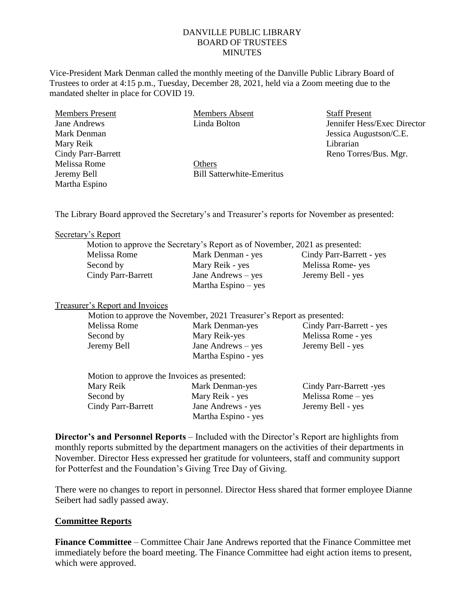### DANVILLE PUBLIC LIBRARY BOARD OF TRUSTEES **MINUTES**

Vice-President Mark Denman called the monthly meeting of the Danville Public Library Board of Trustees to order at 4:15 p.m., Tuesday, December 28, 2021, held via a Zoom meeting due to the mandated shelter in place for COVID 19.

Members Present Jane Andrews Mark Denman Mary Reik Cindy Parr-Barrett Melissa Rome Jeremy Bell Martha Espino

Members Absent Linda Bolton

**Others** Bill Satterwhite-Emeritus Staff Present Jennifer Hess/Exec Director Jessica Augustson/C.E. Librarian Reno Torres/Bus. Mgr.

The Library Board approved the Secretary's and Treasurer's reports for November as presented:

#### Secretary's Report

|                    | Motion to approve the Secretary's Report as of November, 2021 as presented: |                          |
|--------------------|-----------------------------------------------------------------------------|--------------------------|
| Melissa Rome       | Mark Denman - yes                                                           | Cindy Parr-Barrett - yes |
| Second by          | Mary Reik - yes                                                             | Melissa Rome-yes         |
| Cindy Parr-Barrett | Jane Andrews – yes                                                          | Jeremy Bell - yes        |
|                    | Martha Espino – yes                                                         |                          |

#### Treasurer's Report and Invoices

|              | Motion to approve the November, 2021 Treasurer's Report as presented: |                          |
|--------------|-----------------------------------------------------------------------|--------------------------|
| Melissa Rome | Mark Denman-yes                                                       | Cindy Parr-Barrett - yes |
| Second by    | Mary Reik-yes                                                         | Melissa Rome - yes       |
| Jeremy Bell  | Jane Andrews $-$ yes                                                  | Jeremy Bell - yes        |
|              | Martha Espino - yes                                                   |                          |

| Motion to approve the Invoices as presented: |                     |                         |
|----------------------------------------------|---------------------|-------------------------|
| Mary Reik                                    | Mark Denman-yes     | Cindy Parr-Barrett -yes |
| Second by                                    | Mary Reik - yes     | Melissa Rome $-$ yes    |
| <b>Cindy Parr-Barrett</b>                    | Jane Andrews - yes  | Jeremy Bell - yes       |
|                                              | Martha Espino - yes |                         |

**Director's and Personnel Reports** – Included with the Director's Report are highlights from monthly reports submitted by the department managers on the activities of their departments in November. Director Hess expressed her gratitude for volunteers, staff and community support for Potterfest and the Foundation's Giving Tree Day of Giving.

There were no changes to report in personnel. Director Hess shared that former employee Dianne Seibert had sadly passed away.

### **Committee Reports**

**Finance Committee** – Committee Chair Jane Andrews reported that the Finance Committee met immediately before the board meeting. The Finance Committee had eight action items to present, which were approved.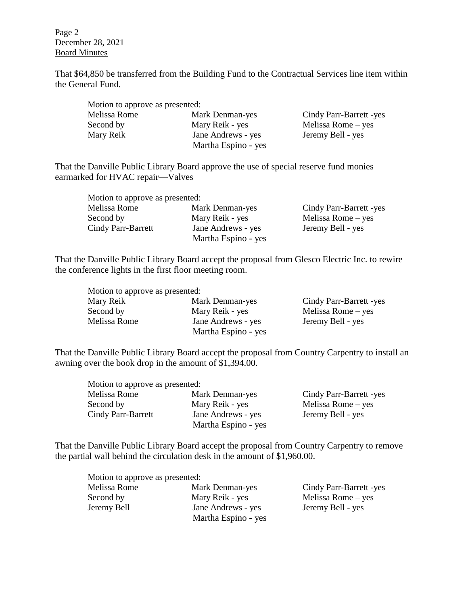Page 2 December 28, 2021 Board Minutes

That \$64,850 be transferred from the Building Fund to the Contractual Services line item within the General Fund.

| Motion to approve as presented: |                     |                         |
|---------------------------------|---------------------|-------------------------|
| Melissa Rome                    | Mark Denman-yes     | Cindy Parr-Barrett -yes |
| Second by                       | Mary Reik - yes     | Melissa Rome $-$ yes    |
| Mary Reik                       | Jane Andrews - yes  | Jeremy Bell - yes       |
|                                 | Martha Espino - yes |                         |

That the Danville Public Library Board approve the use of special reserve fund monies earmarked for HVAC repair—Valves

| Motion to approve as presented: |                     |                         |
|---------------------------------|---------------------|-------------------------|
| Melissa Rome                    | Mark Denman-yes     | Cindy Parr-Barrett -yes |
| Second by                       | Mary Reik - yes     | Melissa Rome $-$ yes    |
| Cindy Parr-Barrett              | Jane Andrews - yes  | Jeremy Bell - yes       |
|                                 | Martha Espino - yes |                         |

That the Danville Public Library Board accept the proposal from Glesco Electric Inc. to rewire the conference lights in the first floor meeting room.

| Motion to approve as presented: |                     |                         |
|---------------------------------|---------------------|-------------------------|
| Mary Reik                       | Mark Denman-yes     | Cindy Parr-Barrett -yes |
| Second by                       | Mary Reik - yes     | Melissa Rome $-$ yes    |
| Melissa Rome                    | Jane Andrews - yes  | Jeremy Bell - yes       |
|                                 | Martha Espino - yes |                         |

That the Danville Public Library Board accept the proposal from Country Carpentry to install an awning over the book drop in the amount of \$1,394.00.

| Motion to approve as presented: |                     |                         |
|---------------------------------|---------------------|-------------------------|
| Melissa Rome                    | Mark Denman-yes     | Cindy Parr-Barrett -yes |
| Second by                       | Mary Reik - yes     | Melissa Rome $-$ yes    |
| <b>Cindy Parr-Barrett</b>       | Jane Andrews - yes  | Jeremy Bell - yes       |
|                                 | Martha Espino - yes |                         |

That the Danville Public Library Board accept the proposal from Country Carpentry to remove the partial wall behind the circulation desk in the amount of \$1,960.00.

| Motion to approve as presented: |                                           |                         |
|---------------------------------|-------------------------------------------|-------------------------|
| Melissa Rome                    | Mark Denman-yes                           | Cindy Parr-Barrett -yes |
| Second by                       | Mary Reik - yes                           | Melissa Rome $-$ yes    |
| Jeremy Bell                     | Jane Andrews - yes<br>Martha Espino - yes | Jeremy Bell - yes       |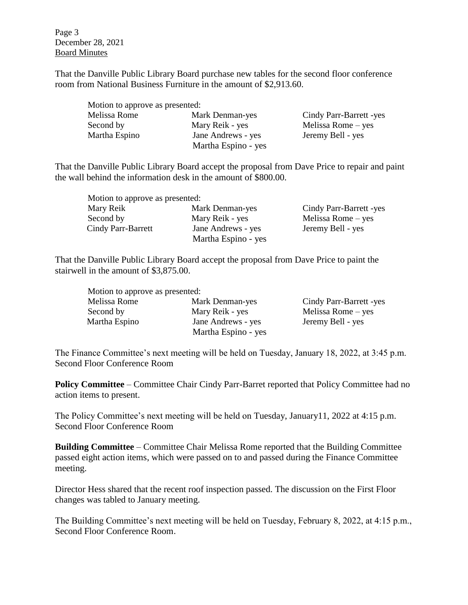Page 3 December 28, 2021 Board Minutes

That the Danville Public Library Board purchase new tables for the second floor conference room from National Business Furniture in the amount of \$2,913.60.

| Motion to approve as presented: |                     |                         |
|---------------------------------|---------------------|-------------------------|
| Melissa Rome                    | Mark Denman-yes     | Cindy Parr-Barrett -yes |
| Second by                       | Mary Reik - yes     | Melissa Rome $-$ yes    |
| Martha Espino                   | Jane Andrews - yes  | Jeremy Bell - yes       |
|                                 | Martha Espino - yes |                         |

That the Danville Public Library Board accept the proposal from Dave Price to repair and paint the wall behind the information desk in the amount of \$800.00.

| Motion to approve as presented: |                     |                         |
|---------------------------------|---------------------|-------------------------|
| Mary Reik                       | Mark Denman-yes     | Cindy Parr-Barrett -yes |
| Second by                       | Mary Reik - yes     | Melissa Rome $-$ yes    |
| Cindy Parr-Barrett              | Jane Andrews - yes  | Jeremy Bell - yes       |
|                                 | Martha Espino - yes |                         |

That the Danville Public Library Board accept the proposal from Dave Price to paint the stairwell in the amount of \$3,875.00.

| Motion to approve as presented: |                     |                         |
|---------------------------------|---------------------|-------------------------|
| Melissa Rome                    | Mark Denman-yes     | Cindy Parr-Barrett -yes |
| Second by                       | Mary Reik - yes     | Melissa Rome $-$ yes    |
| Martha Espino                   | Jane Andrews - yes  | Jeremy Bell - yes       |
|                                 | Martha Espino - yes |                         |

The Finance Committee's next meeting will be held on Tuesday, January 18, 2022, at 3:45 p.m. Second Floor Conference Room

**Policy Committee** – Committee Chair Cindy Parr-Barret reported that Policy Committee had no action items to present.

The Policy Committee's next meeting will be held on Tuesday, January11, 2022 at 4:15 p.m. Second Floor Conference Room

**Building Committee** – Committee Chair Melissa Rome reported that the Building Committee passed eight action items, which were passed on to and passed during the Finance Committee meeting.

Director Hess shared that the recent roof inspection passed. The discussion on the First Floor changes was tabled to January meeting.

The Building Committee's next meeting will be held on Tuesday, February 8, 2022, at 4:15 p.m., Second Floor Conference Room.